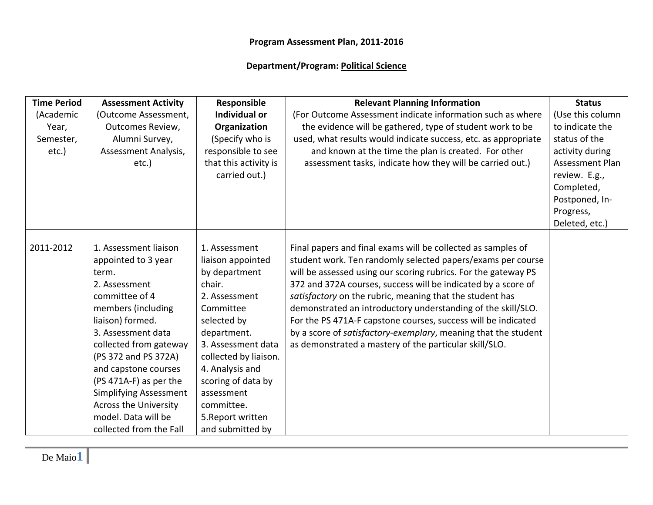## **Department/Program: Political Science**

| <b>Time Period</b> | <b>Assessment Activity</b>    | Responsible           | <b>Relevant Planning Information</b>                           | <b>Status</b>    |
|--------------------|-------------------------------|-----------------------|----------------------------------------------------------------|------------------|
| (Academic          | (Outcome Assessment,          | <b>Individual or</b>  | (For Outcome Assessment indicate information such as where     | (Use this column |
| Year,              | <b>Outcomes Review,</b>       | Organization          | the evidence will be gathered, type of student work to be      | to indicate the  |
| Semester,          | Alumni Survey,                | (Specify who is       | used, what results would indicate success, etc. as appropriate | status of the    |
| etc.)              | Assessment Analysis,          | responsible to see    | and known at the time the plan is created. For other           | activity during  |
|                    | etc.)                         | that this activity is | assessment tasks, indicate how they will be carried out.)      | Assessment Plan  |
|                    |                               | carried out.)         |                                                                | review. E.g.,    |
|                    |                               |                       |                                                                | Completed,       |
|                    |                               |                       |                                                                | Postponed, In-   |
|                    |                               |                       |                                                                | Progress,        |
|                    |                               |                       |                                                                | Deleted, etc.)   |
|                    |                               |                       |                                                                |                  |
| 2011-2012          | 1. Assessment liaison         | 1. Assessment         | Final papers and final exams will be collected as samples of   |                  |
|                    | appointed to 3 year           | liaison appointed     | student work. Ten randomly selected papers/exams per course    |                  |
|                    | term.                         | by department         | will be assessed using our scoring rubrics. For the gateway PS |                  |
|                    | 2. Assessment                 | chair.                | 372 and 372A courses, success will be indicated by a score of  |                  |
|                    | committee of 4                | 2. Assessment         | satisfactory on the rubric, meaning that the student has       |                  |
|                    | members (including            | Committee             | demonstrated an introductory understanding of the skill/SLO.   |                  |
|                    | liaison) formed.              | selected by           | For the PS 471A-F capstone courses, success will be indicated  |                  |
|                    | 3. Assessment data            | department.           | by a score of satisfactory-exemplary, meaning that the student |                  |
|                    | collected from gateway        | 3. Assessment data    | as demonstrated a mastery of the particular skill/SLO.         |                  |
|                    | (PS 372 and PS 372A)          | collected by liaison. |                                                                |                  |
|                    | and capstone courses          | 4. Analysis and       |                                                                |                  |
|                    | (PS 471A-F) as per the        | scoring of data by    |                                                                |                  |
|                    | <b>Simplifying Assessment</b> | assessment            |                                                                |                  |
|                    | <b>Across the University</b>  | committee.            |                                                                |                  |
|                    | model. Data will be           | 5. Report written     |                                                                |                  |
|                    | collected from the Fall       | and submitted by      |                                                                |                  |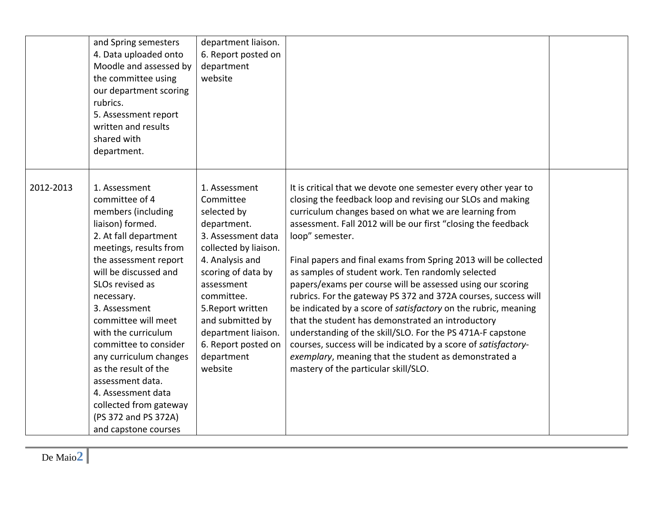|           | and Spring semesters<br>4. Data uploaded onto<br>Moodle and assessed by<br>the committee using<br>our department scoring<br>rubrics.<br>5. Assessment report<br>written and results<br>shared with<br>department.                                                                                                                                                                                                                                                             | department liaison.<br>6. Report posted on<br>department<br>website                                                                                                                                                                                                                          |                                                                                                                                                                                                                                                                                                                                                                                                                                                                                                                                                                                                                                                                                                                                                                                                                                                                                           |  |
|-----------|-------------------------------------------------------------------------------------------------------------------------------------------------------------------------------------------------------------------------------------------------------------------------------------------------------------------------------------------------------------------------------------------------------------------------------------------------------------------------------|----------------------------------------------------------------------------------------------------------------------------------------------------------------------------------------------------------------------------------------------------------------------------------------------|-------------------------------------------------------------------------------------------------------------------------------------------------------------------------------------------------------------------------------------------------------------------------------------------------------------------------------------------------------------------------------------------------------------------------------------------------------------------------------------------------------------------------------------------------------------------------------------------------------------------------------------------------------------------------------------------------------------------------------------------------------------------------------------------------------------------------------------------------------------------------------------------|--|
| 2012-2013 | 1. Assessment<br>committee of 4<br>members (including<br>liaison) formed.<br>2. At fall department<br>meetings, results from<br>the assessment report<br>will be discussed and<br>SLOs revised as<br>necessary.<br>3. Assessment<br>committee will meet<br>with the curriculum<br>committee to consider<br>any curriculum changes<br>as the result of the<br>assessment data.<br>4. Assessment data<br>collected from gateway<br>(PS 372 and PS 372A)<br>and capstone courses | 1. Assessment<br>Committee<br>selected by<br>department.<br>3. Assessment data<br>collected by liaison.<br>4. Analysis and<br>scoring of data by<br>assessment<br>committee.<br>5. Report written<br>and submitted by<br>department liaison.<br>6. Report posted on<br>department<br>website | It is critical that we devote one semester every other year to<br>closing the feedback loop and revising our SLOs and making<br>curriculum changes based on what we are learning from<br>assessment. Fall 2012 will be our first "closing the feedback<br>loop" semester.<br>Final papers and final exams from Spring 2013 will be collected<br>as samples of student work. Ten randomly selected<br>papers/exams per course will be assessed using our scoring<br>rubrics. For the gateway PS 372 and 372A courses, success will<br>be indicated by a score of satisfactory on the rubric, meaning<br>that the student has demonstrated an introductory<br>understanding of the skill/SLO. For the PS 471A-F capstone<br>courses, success will be indicated by a score of satisfactory-<br>exemplary, meaning that the student as demonstrated a<br>mastery of the particular skill/SLO. |  |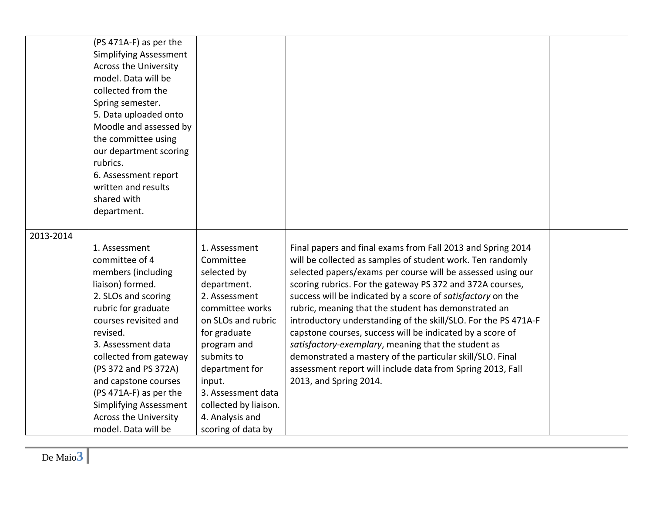|           | (PS 471A-F) as per the<br><b>Simplifying Assessment</b><br><b>Across the University</b><br>model. Data will be<br>collected from the<br>Spring semester.<br>5. Data uploaded onto<br>Moodle and assessed by<br>the committee using<br>our department scoring<br>rubrics.<br>6. Assessment report<br>written and results<br>shared with                                         |                                                                                                                                                                                                                                                                                     |                                                                                                                                                                                                                                                                                                                                                                                                                                                                                                                                                                                                                                                                                                                         |  |
|-----------|--------------------------------------------------------------------------------------------------------------------------------------------------------------------------------------------------------------------------------------------------------------------------------------------------------------------------------------------------------------------------------|-------------------------------------------------------------------------------------------------------------------------------------------------------------------------------------------------------------------------------------------------------------------------------------|-------------------------------------------------------------------------------------------------------------------------------------------------------------------------------------------------------------------------------------------------------------------------------------------------------------------------------------------------------------------------------------------------------------------------------------------------------------------------------------------------------------------------------------------------------------------------------------------------------------------------------------------------------------------------------------------------------------------------|--|
|           | department.                                                                                                                                                                                                                                                                                                                                                                    |                                                                                                                                                                                                                                                                                     |                                                                                                                                                                                                                                                                                                                                                                                                                                                                                                                                                                                                                                                                                                                         |  |
| 2013-2014 | 1. Assessment<br>committee of 4<br>members (including<br>liaison) formed.<br>2. SLOs and scoring<br>rubric for graduate<br>courses revisited and<br>revised.<br>3. Assessment data<br>collected from gateway<br>(PS 372 and PS 372A)<br>and capstone courses<br>(PS 471A-F) as per the<br><b>Simplifying Assessment</b><br><b>Across the University</b><br>model. Data will be | 1. Assessment<br>Committee<br>selected by<br>department.<br>2. Assessment<br>committee works<br>on SLOs and rubric<br>for graduate<br>program and<br>submits to<br>department for<br>input.<br>3. Assessment data<br>collected by liaison.<br>4. Analysis and<br>scoring of data by | Final papers and final exams from Fall 2013 and Spring 2014<br>will be collected as samples of student work. Ten randomly<br>selected papers/exams per course will be assessed using our<br>scoring rubrics. For the gateway PS 372 and 372A courses,<br>success will be indicated by a score of satisfactory on the<br>rubric, meaning that the student has demonstrated an<br>introductory understanding of the skill/SLO. For the PS 471A-F<br>capstone courses, success will be indicated by a score of<br>satisfactory-exemplary, meaning that the student as<br>demonstrated a mastery of the particular skill/SLO. Final<br>assessment report will include data from Spring 2013, Fall<br>2013, and Spring 2014. |  |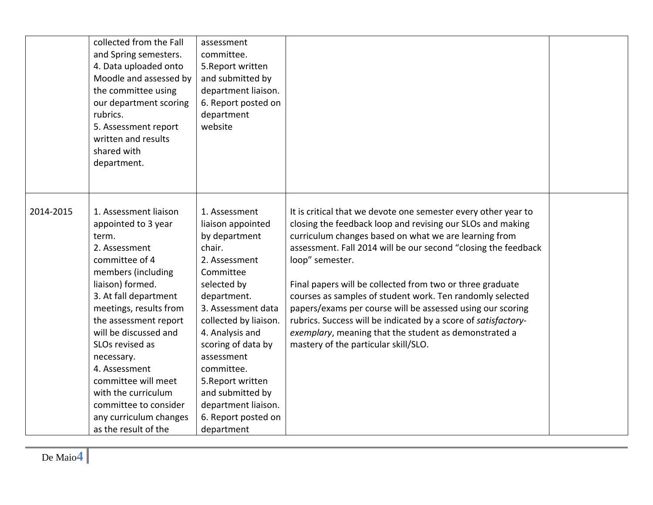|           | collected from the Fall<br>and Spring semesters.<br>4. Data uploaded onto<br>Moodle and assessed by<br>the committee using<br>our department scoring<br>rubrics.<br>5. Assessment report<br>written and results<br>shared with<br>department.                                                                                                                                                                      | assessment<br>committee.<br>5. Report written<br>and submitted by<br>department liaison.<br>6. Report posted on<br>department<br>website                                                                                                                                                                                                           |                                                                                                                                                                                                                                                                                                                                                                                                                                                                                                                                                                                                                                       |  |
|-----------|--------------------------------------------------------------------------------------------------------------------------------------------------------------------------------------------------------------------------------------------------------------------------------------------------------------------------------------------------------------------------------------------------------------------|----------------------------------------------------------------------------------------------------------------------------------------------------------------------------------------------------------------------------------------------------------------------------------------------------------------------------------------------------|---------------------------------------------------------------------------------------------------------------------------------------------------------------------------------------------------------------------------------------------------------------------------------------------------------------------------------------------------------------------------------------------------------------------------------------------------------------------------------------------------------------------------------------------------------------------------------------------------------------------------------------|--|
| 2014-2015 | 1. Assessment liaison<br>appointed to 3 year<br>term.<br>2. Assessment<br>committee of 4<br>members (including<br>liaison) formed.<br>3. At fall department<br>meetings, results from<br>the assessment report<br>will be discussed and<br>SLOs revised as<br>necessary.<br>4. Assessment<br>committee will meet<br>with the curriculum<br>committee to consider<br>any curriculum changes<br>as the result of the | 1. Assessment<br>liaison appointed<br>by department<br>chair.<br>2. Assessment<br>Committee<br>selected by<br>department.<br>3. Assessment data<br>collected by liaison.<br>4. Analysis and<br>scoring of data by<br>assessment<br>committee.<br>5. Report written<br>and submitted by<br>department liaison.<br>6. Report posted on<br>department | It is critical that we devote one semester every other year to<br>closing the feedback loop and revising our SLOs and making<br>curriculum changes based on what we are learning from<br>assessment. Fall 2014 will be our second "closing the feedback<br>loop" semester.<br>Final papers will be collected from two or three graduate<br>courses as samples of student work. Ten randomly selected<br>papers/exams per course will be assessed using our scoring<br>rubrics. Success will be indicated by a score of satisfactory-<br>exemplary, meaning that the student as demonstrated a<br>mastery of the particular skill/SLO. |  |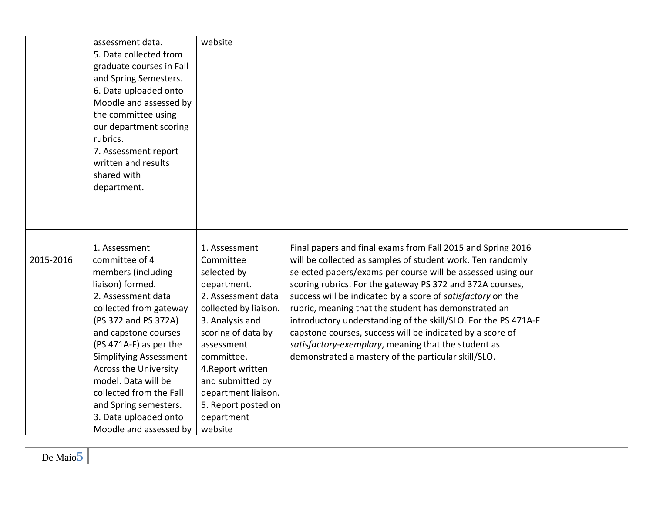| assessment data.<br>5. Data collected from<br>graduate courses in Fall<br>and Spring Semesters.<br>6. Data uploaded onto<br>the committee using<br>our department scoring<br>rubrics.<br>7. Assessment report<br>written and results<br>shared with<br>department.                                                                                           | website<br>Moodle and assessed by                                                                                                                                                                                                                                   |                                                                                                                                                                                                                                                                                                                                                                                                                                                                                                                                                                                                                           |  |
|--------------------------------------------------------------------------------------------------------------------------------------------------------------------------------------------------------------------------------------------------------------------------------------------------------------------------------------------------------------|---------------------------------------------------------------------------------------------------------------------------------------------------------------------------------------------------------------------------------------------------------------------|---------------------------------------------------------------------------------------------------------------------------------------------------------------------------------------------------------------------------------------------------------------------------------------------------------------------------------------------------------------------------------------------------------------------------------------------------------------------------------------------------------------------------------------------------------------------------------------------------------------------------|--|
| 1. Assessment<br>2015-2016<br>committee of 4<br>members (including<br>liaison) formed.<br>2. Assessment data<br>collected from gateway<br>(PS 372 and PS 372A)<br>and capstone courses<br>(PS 471A-F) as per the<br><b>Simplifying Assessment</b><br><b>Across the University</b><br>model. Data will be<br>collected from the Fall<br>and Spring semesters. | 1. Assessment<br>Committee<br>selected by<br>department.<br>2. Assessment data<br>collected by liaison.<br>3. Analysis and<br>scoring of data by<br>assessment<br>committee.<br>4. Report written<br>and submitted by<br>department liaison.<br>5. Report posted on | Final papers and final exams from Fall 2015 and Spring 2016<br>will be collected as samples of student work. Ten randomly<br>selected papers/exams per course will be assessed using our<br>scoring rubrics. For the gateway PS 372 and 372A courses,<br>success will be indicated by a score of satisfactory on the<br>rubric, meaning that the student has demonstrated an<br>introductory understanding of the skill/SLO. For the PS 471A-F<br>capstone courses, success will be indicated by a score of<br>satisfactory-exemplary, meaning that the student as<br>demonstrated a mastery of the particular skill/SLO. |  |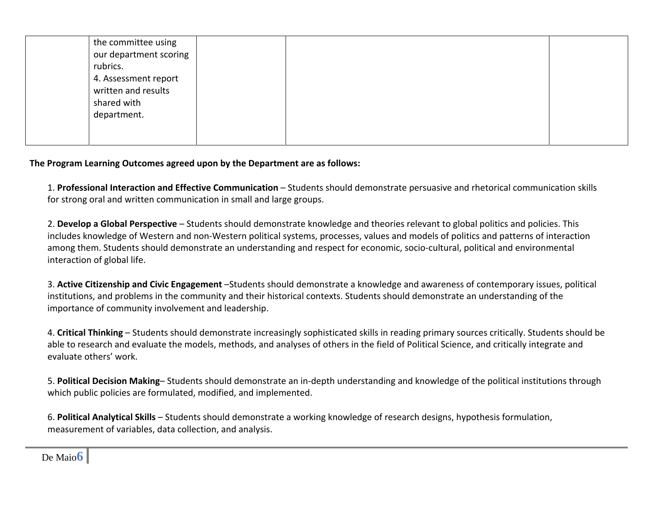| the committee using    |  |
|------------------------|--|
| our department scoring |  |
| rubrics.               |  |
| 4. Assessment report   |  |
| written and results    |  |
| shared with            |  |
| department.            |  |
|                        |  |
|                        |  |

## **The Program Learning Outcomes agreed upon by the Department are as follows:**

1. **Professional Interaction and Effective Communication** – Students should demonstrate persuasive and rhetorical communication skills for strong oral and written communication in small and large groups.

2. **Develop <sup>a</sup> Global Perspective** – Students should demonstrate knowledge and theories relevant to global politics and policies. This includes knowledge of Western and non‐Western political systems, processes, values and models of politics and patterns of interaction among them. Students should demonstrate an understanding and respect for economic, socio‐cultural, political and environmental interaction of global life.

3. **Active Citizenship and Civic Engagement** –Students should demonstrate <sup>a</sup> knowledge and awareness of contemporary issues, political institutions, and problems in the community and their historical contexts. Students should demonstrate an understanding of the importance of community involvement and leadership.

4. **Critical Thinking** – Students should demonstrate increasingly sophisticated skills in reading primary sources critically. Students should be able to research and evaluate the models, methods, and analyses of others in the field of Political Science, and critically integrate and evaluate others' work.

5. **Political Decision Making**– Students should demonstrate an in‐depth understanding and knowledge of the political institutions through which public policies are formulated, modified, and implemented.

6. **Political Analytical Skills** – Students should demonstrate <sup>a</sup> working knowledge of research designs, hypothesis formulation, measurement of variables, data collection, and analysis.